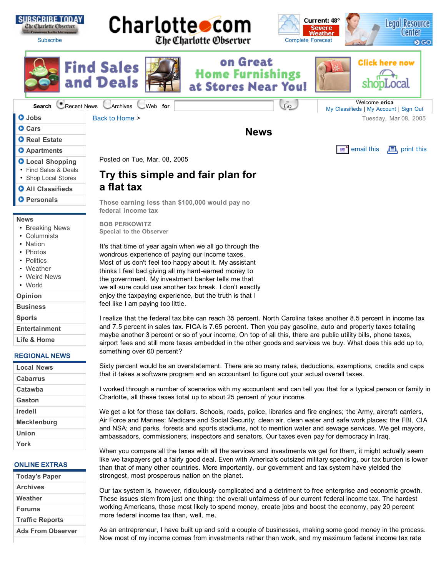

As an entrepreneur, I have built up and sold a couple of businesses, making some good money in the process. Now most of my income comes from investments rather than work, and my maximum federal income tax rate

more federal income tax than, well, me.

| <b>Today's Paper</b>     |
|--------------------------|
| <b>Archives</b>          |
| Weather                  |
| <b>Forums</b>            |
| <b>Traffic Reports</b>   |
| <b>Ads From Observer</b> |